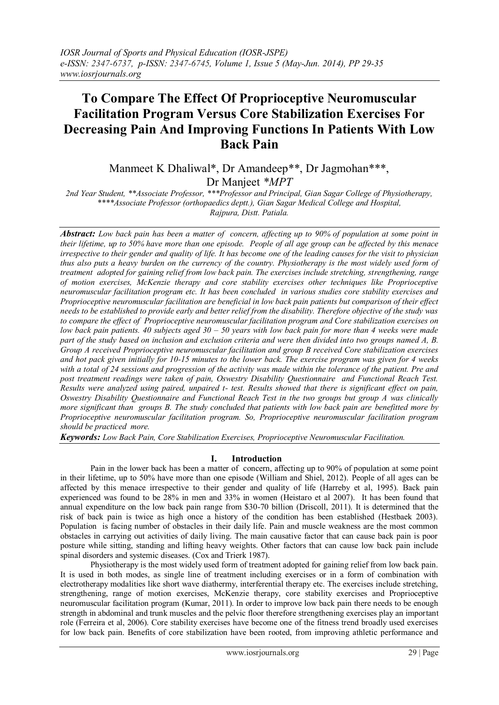# **To Compare The Effect Of Proprioceptive Neuromuscular Facilitation Program Versus Core Stabilization Exercises For Decreasing Pain And Improving Functions In Patients With Low Back Pain**

Manmeet K Dhaliwal\*, Dr Amandeep\*\*, Dr Jagmohan\*\*\*, Dr Manjeet *\*MPT*

*2nd Year Student, \*\*Associate Professor, \*\*\*Professor and Principal, Gian Sagar College of Physiotherapy, \*\*\*\*Associate Professor (orthopaedics deptt.), Gian Sagar Medical College and Hospital, Rajpura, Distt. Patiala.*

*Abstract: Low back pain has been a matter of concern, affecting up to 90% of population at some point in their lifetime, up to 50% have more than one episode. People of all age group can be affected by this menace irrespective to their gender and quality of life. It has become one of the leading causes for the visit to physician thus also puts a heavy burden on the currency of the country. Physiotherapy is the most widely used form of treatment adopted for gaining relief from low back pain. The exercises include stretching, strengthening, range of motion exercises, McKenzie therapy and core stability exercises other techniques like Proprioceptive neuromuscular facilitation program etc. It has been concluded in various studies core stability exercises and Proprioceptive neuromuscular facilitation are beneficial in low back pain patients but comparison of their effect needs to be established to provide early and better relief from the disability. Therefore objective of the study was to compare the effect of Proprioceptive neuromuscular facilitation program and Core stabilization exercises on low back pain patients. 40 subjects aged 30 – 50 years with low back pain for more than 4 weeks were made part of the study based on inclusion and exclusion criteria and were then divided into two groups named A, B. Group A received Proprioceptive neuromuscular facilitation and group B received Core stabilization exercises and hot pack given initially for 10-15 minutes to the lower back. The exercise program was given for 4 weeks with a total of 24 sessions and progression of the activity was made within the tolerance of the patient. Pre and post treatment readings were taken of pain, Oswestry Disability Questionnaire and Functional Reach Test. Results were analyzed using paired, unpaired t- test. Results showed that there is significant effect on pain, Oswestry Disability Questionnaire and Functional Reach Test in the two groups but group A was clinically more significant than groups B. The study concluded that patients with low back pain are benefitted more by Proprioceptive neuromuscular facilitation program. So, Proprioceptive neuromuscular facilitation program should be practiced more.*

*Keywords: Low Back Pain, Core Stabilization Exercises, Proprioceptive Neuromuscular Facilitation.*

## **I. Introduction**

Pain in the lower back has been a matter of concern, affecting up to 90% of population at some point in their lifetime, up to 50% have more than one episode (William and Shiel, 2012). People of all ages can be affected by this menace irrespective to their gender and quality of life (Harreby et al, 1995). Back pain experienced was found to be 28% in men and 33% in women (Heistaro et al 2007). It has been found that annual expenditure on the low back pain range from \$30-70 billion (Driscoll, 2011). It is determined that the risk of back pain is twice as high once a history of the condition has been established (Hestbaek 2003). Population is facing number of obstacles in their daily life. Pain and muscle weakness are the most common obstacles in carrying out activities of daily living. The main causative factor that can cause back pain is poor posture while sitting, standing and lifting heavy weights. Other factors that can cause low back pain include spinal disorders and systemic diseases. (Cox and Trierk 1987).

Physiotherapy is the most widely used form of treatment adopted for gaining relief from low back pain. It is used in both modes, as single line of treatment including exercises or in a form of combination with electrotherapy modalities like short wave diathermy, interferential therapy etc. The exercises include stretching, strengthening, range of motion exercises, McKenzie therapy, core stability exercises and Proprioceptive neuromuscular facilitation program (Kumar, 2011). In order to improve low back pain there needs to be enough strength in abdominal and trunk muscles and the pelvic floor therefore strengthening exercises play an important role (Ferreira et al, 2006). Core stability exercises have become one of the fitness trend broadly used exercises for low back pain. Benefits of core stabilization have been rooted, from improving athletic performance and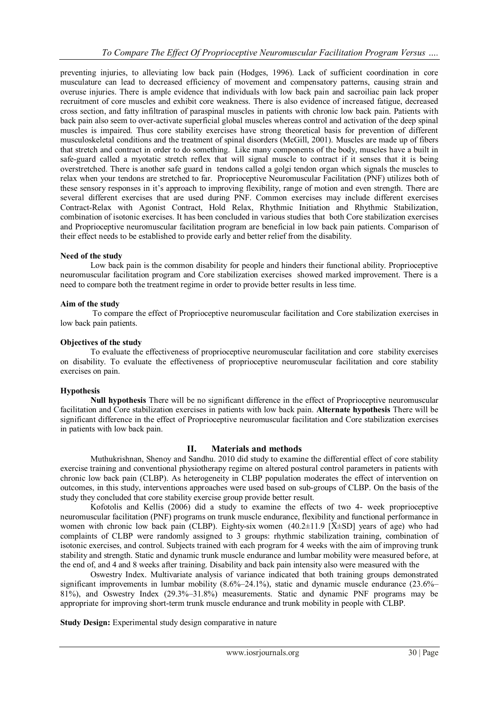preventing injuries, to alleviating low back pain (Hodges, 1996). Lack of sufficient coordination in core musculature can lead to decreased efficiency of movement and compensatory patterns, causing strain and overuse injuries. There is ample evidence that individuals with low back pain and sacroiliac pain lack proper recruitment of core muscles and exhibit core weakness. There is also evidence of increased fatigue, decreased cross section, and fatty infiltration of paraspinal muscles in patients with chronic low back pain. Patients with back pain also seem to over-activate superficial global muscles whereas control and activation of the deep spinal muscles is impaired. Thus core stability exercises have strong theoretical basis for prevention of different musculoskeletal conditions and the treatment of spinal disorders (McGill, 2001). Muscles are made up of fibers that stretch and contract in order to do something. Like many components of the body, muscles have a built in safe-guard called a myotatic stretch reflex that will signal muscle to contract if it senses that it is being overstretched. There is another safe guard in tendons called a golgi tendon organ which signals the muscles to relax when your tendons are stretched to far. Proprioceptive Neuromuscular Facilitation (PNF) utilizes both of these sensory responses in it's approach to improving flexibility, range of motion and even strength. There are several different exercises that are used during PNF. Common exercises may include different exercises Contract-Relax with Agonist Contract, Hold Relax, Rhythmic Initiation and Rhythmic Stabilization, combination of isotonic exercises. It has been concluded in various studies that both Core stabilization exercises and Proprioceptive neuromuscular facilitation program are beneficial in low back pain patients. Comparison of their effect needs to be established to provide early and better relief from the disability.

### **Need of the study**

Low back pain is the common disability for people and hinders their functional ability. Proprioceptive neuromuscular facilitation program and Core stabilization exercises showed marked improvement. There is a need to compare both the treatment regime in order to provide better results in less time.

#### **Aim of the study**

To compare the effect of Proprioceptive neuromuscular facilitation and Core stabilization exercises in low back pain patients.

#### **Objectives of the study**

To evaluate the effectiveness of proprioceptive neuromuscular facilitation and core stability exercises on disability. To evaluate the effectiveness of proprioceptive neuromuscular facilitation and core stability exercises on pain.

#### **Hypothesis**

**Null hypothesis** There will be no significant difference in the effect of Proprioceptive neuromuscular facilitation and Core stabilization exercises in patients with low back pain. **Alternate hypothesis** There will be significant difference in the effect of Proprioceptive neuromuscular facilitation and Core stabilization exercises in patients with low back pain.

### **II. Materials and methods**

Muthukrishnan, Shenoy and Sandhu. 2010 did study to examine the differential effect of core stability exercise training and conventional physiotherapy regime on altered postural control parameters in patients with chronic low back pain (CLBP). As heterogeneity in CLBP population moderates the effect of intervention on outcomes, in this study, interventions approaches were used based on sub-groups of CLBP. On the basis of the study they concluded that core stability exercise group provide better result.

Kofotolis and Kellis (2006) did a study to examine the effects of two 4- week proprioceptive neuromuscular facilitation (PNF) programs on trunk muscle endurance, flexibility and functional performance in women with chronic low back pain (CLBP). Eighty-six women  $(40.2\pm11.9 \overline{X} \pm SD)$  years of age) who had complaints of CLBP were randomly assigned to 3 groups: rhythmic stabilization training, combination of isotonic exercises, and control. Subjects trained with each program for 4 weeks with the aim of improving trunk stability and strength. Static and dynamic trunk muscle endurance and lumbar mobility were measured before, at the end of, and 4 and 8 weeks after training. Disability and back pain intensity also were measured with the

Oswestry Index. Multivariate analysis of variance indicated that both training groups demonstrated significant improvements in lumbar mobility (8.6%–24.1%), static and dynamic muscle endurance (23.6%– 81%), and Oswestry Index (29.3%–31.8%) measurements. Static and dynamic PNF programs may be appropriate for improving short-term trunk muscle endurance and trunk mobility in people with CLBP.

**Study Design:** Experimental study design comparative in nature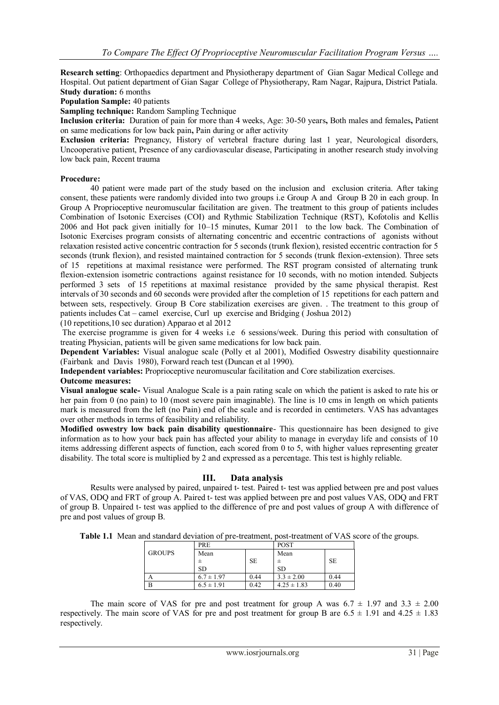**Research setting**: Orthopaedics department and Physiotherapy department of Gian Sagar Medical College and Hospital. Out patient department of Gian Sagar College of Physiotherapy, Ram Nagar, Rajpura, District Patiala. **Study duration:** 6 months

**Population Sample:** 40 patients

**Sampling technique:** Random Sampling Technique

**Inclusion criteria:** Duration of pain for more than 4 weeks, Age: 30-50 years**,** Both males and females**,** Patient on same medications for low back pain**,** Pain during or after activity

**Exclusion criteria:** Pregnancy, History of vertebral fracture during last 1 year, Neurological disorders, Uncooperative patient, Presence of any cardiovascular disease, Participating in another research study involving low back pain, Recent trauma

#### **Procedure:**

40 patient were made part of the study based on the inclusion and exclusion criteria. After taking consent, these patients were randomly divided into two groups i.e Group A and Group B 20 in each group. In Group A Proprioceptive neuromuscular facilitation are given. The treatment to this group of patients includes Combination of Isotonic Exercises (COI) and Rythmic Stabilization Technique (RST), Kofotolis and Kellis 2006 and Hot pack given initially for 10–15 minutes, Kumar 2011 to the low back. The Combination of Isotonic Exercises program consists of alternating concentric and eccentric contractions of agonists without relaxation resisted active concentric contraction for 5 seconds (trunk flexion), resisted eccentric contraction for 5 seconds (trunk flexion), and resisted maintained contraction for 5 seconds (trunk flexion-extension). Three sets of 15 repetitions at maximal resistance were performed. The RST program consisted of alternating trunk flexion-extension isometric contractions against resistance for 10 seconds, with no motion intended. Subjects performed 3 sets of 15 repetitions at maximal resistance provided by the same physical therapist. Rest intervals of 30 seconds and 60 seconds were provided after the completion of 15 repetitions for each pattern and between sets, respectively. Group B Core stabilization exercises are given. . The treatment to this group of patients includes Cat – camel exercise, Curl up exercise and Bridging ( Joshua 2012)

(10 repetitions,10 sec duration) Apparao et al 2012

The exercise programme is given for 4 weeks i.e 6 sessions/week. During this period with consultation of treating Physician, patients will be given same medications for low back pain.

**Dependent Variables:** Visual analogue scale (Polly et al 2001), Modified Oswestry disability questionnaire (Fairbank and Davis 1980), Forward reach test (Duncan et al 1990).

**Independent variables:** Proprioceptive neuromuscular facilitation and Core stabilization exercises.

## **Outcome measures:**

**Visual analogue scale-** Visual Analogue Scale is a pain rating scale on which the patient is asked to rate his or her pain from 0 (no pain) to 10 (most severe pain imaginable). The line is 10 cms in length on which patients mark is measured from the left (no Pain) end of the scale and is recorded in centimeters. VAS has advantages over other methods in terms of feasibility and reliability.

**Modified oswestry low back pain disability questionnaire**- This questionnaire has been designed to give information as to how your back pain has affected your ability to manage in everyday life and consists of 10 items addressing different aspects of function, each scored from 0 to 5, with higher values representing greater disability. The total score is multiplied by 2 and expressed as a percentage. This test is highly reliable.

### **III. Data analysis**

Results were analysed by paired, unpaired t- test. Paired t- test was applied between pre and post values of VAS, ODQ and FRT of group A. Paired t- test was applied between pre and post values VAS, ODQ and FRT of group B. Unpaired t- test was applied to the difference of pre and post values of group A with difference of pre and post values of group B.

|               | <b>PRE</b>     |           | <b>POST</b>     |           |
|---------------|----------------|-----------|-----------------|-----------|
| <b>GROUPS</b> | Mean           |           | Mean            |           |
|               |                | <b>SE</b> |                 | <b>SE</b> |
|               | <b>SD</b>      |           | <b>SD</b>       |           |
|               | $6.7 \pm 1.97$ | 0.44      | $3.3 \pm 2.00$  | 0.44      |
| B             | $6.5 \pm 1.91$ | 0.42      | $4.25 \pm 1.83$ | 0.40      |

The main score of VAS for pre and post treatment for group A was  $6.7 \pm 1.97$  and  $3.3 \pm 2.00$ respectively. The main score of VAS for pre and post treatment for group B are  $6.5 \pm 1.91$  and  $4.25 \pm 1.83$ respectively.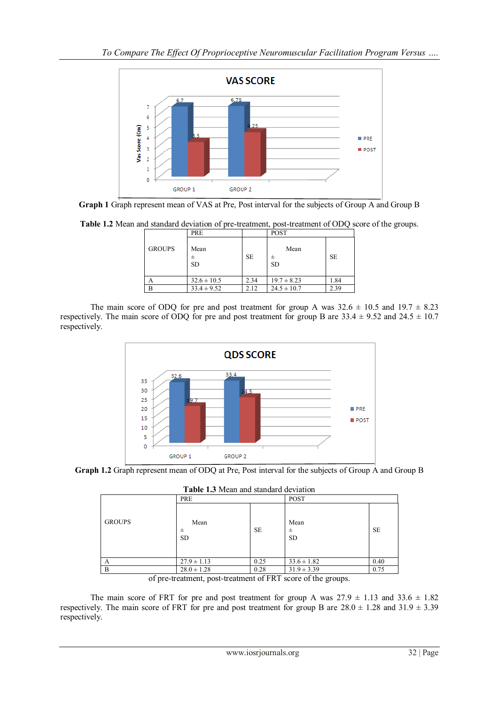

**Graph 1** Graph represent mean of VAS at Pre, Post interval for the subjects of Group A and Group B

**Table 1.2** Mean and standard deviation of pre-treatment, post-treatment of ODQ score of the groups.

|               | PRE               |           | <b>POST</b>            |           |
|---------------|-------------------|-----------|------------------------|-----------|
| <b>GROUPS</b> | Mean<br><b>SD</b> | <b>SE</b> | Mean<br>士<br><b>SD</b> | <b>SE</b> |
|               | $32.6 \pm 10.5$   | 2.34      | $19.7 \pm 8.23$        | 1.84      |
| B             | $33.4 \pm 9.52$   | 2.12      | $24.5 \pm 10.7$        | 2.39      |

The main score of ODQ for pre and post treatment for group A was  $32.6 \pm 10.5$  and  $19.7 \pm 8.23$ respectively. The main score of ODQ for pre and post treatment for group B are  $33.4 \pm 9.52$  and  $24.5 \pm 10.7$ respectively.



**Graph 1.2** Graph represent mean of ODQ at Pre, Post interval for the subjects of Group A and Group B

**Table 1.3** Mean and standard deviation

| Those The William Standard activition |                        |           |                        |           |
|---------------------------------------|------------------------|-----------|------------------------|-----------|
|                                       | PRE                    |           | <b>POST</b>            |           |
| <b>GROUPS</b>                         | Mean<br>士<br><b>SD</b> | <b>SE</b> | Mean<br>士<br><b>SD</b> | <b>SE</b> |
| A                                     | $27.9 \pm 1.13$        | 0.25      | $33.6 \pm 1.82$        | 0.40      |
| B                                     | $28.0 \pm 1.28$        | 0.28      | $31.9 \pm 3.39$        | 0.75      |
|                                       |                        |           |                        |           |

of pre-treatment, post-treatment of FRT score of the groups.

The main score of FRT for pre and post treatment for group A was  $27.9 \pm 1.13$  and  $33.6 \pm 1.82$ respectively. The main score of FRT for pre and post treatment for group B are  $28.0 \pm 1.28$  and  $31.9 \pm 3.39$ respectively.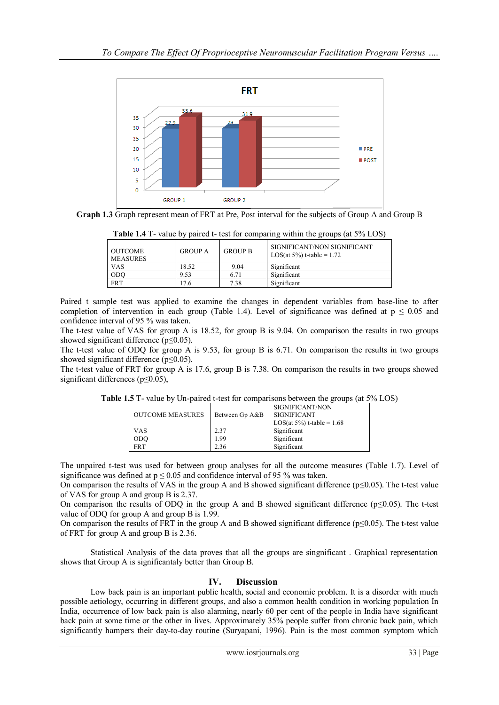

**Graph 1.3** Graph represent mean of FRT at Pre, Post interval for the subjects of Group A and Group B

| Table 1.4 T- value by paired t- test for comparing within the groups (at 5% LOS) |  |  |  |
|----------------------------------------------------------------------------------|--|--|--|
|                                                                                  |  |  |  |

| <b>OUTCOME</b><br><b>MEASURES</b> | <b>GROUP A</b> | <b>GROUP B</b> | SIGNIFICANT/NON SIGNIFICANT<br>LOS(at 5%) t-table = $1.72$ |
|-----------------------------------|----------------|----------------|------------------------------------------------------------|
| VAS                               | 18.52          | 9.04           | Significant                                                |
| ODO                               | 9.53           | 6.71           | Significant                                                |
| <b>FRT</b>                        | 7.6            | 7.38           | Significant                                                |

Paired t sample test was applied to examine the changes in dependent variables from base-line to after completion of intervention in each group (Table 1.4). Level of significance was defined at  $p \le 0.05$  and confidence interval of 95 % was taken.

The t-test value of VAS for group A is 18.52, for group B is 9.04. On comparison the results in two groups showed significant difference (p≤0.05).

The t-test value of ODQ for group A is 9.53, for group B is 6.71. On comparison the results in two groups showed significant difference (p≤0.05).

The t-test value of FRT for group A is 17.6, group B is 7.38. On comparison the results in two groups showed significant differences (p≤0.05),

| <b>OUTCOME MEASURES</b> | Between Gp A&B | SIGNIFICANT/NON<br><b>SIGNIFICANT</b><br>LOS(at $5\%$ ) t-table = 1.68 |
|-------------------------|----------------|------------------------------------------------------------------------|
| VAS                     | 2.37           | Significant                                                            |
| ODO                     | - 99           | Significant                                                            |
| <b>FRT</b>              | 2.36           | Significant                                                            |

**Table 1.5** T- value by Un-paired t-test for comparisons between the groups (at 5% LOS)

The unpaired t-test was used for between group analyses for all the outcome measures (Table 1.7). Level of significance was defined at  $p \le 0.05$  and confidence interval of 95 % was taken.

On comparison the results of VAS in the group A and B showed significant difference ( $p \le 0.05$ ). The t-test value of VAS for group A and group B is 2.37.

On comparison the results of ODQ in the group A and B showed significant difference ( $p \le 0.05$ ). The t-test value of ODQ for group A and group B is 1.99.

On comparison the results of FRT in the group A and B showed significant difference ( $p \le 0.05$ ). The t-test value of FRT for group A and group B is 2.36.

Statistical Analysis of the data proves that all the groups are singnificant . Graphical representation shows that Group A is significantaly better than Group B.

## **IV. Discussion**

Low back pain is an important public health, social and economic problem. It is a disorder with much possible aetiology, occurring in different groups, and also a common health condition in working population In India, occurrence of low back pain is also alarming, nearly 60 per cent of the people in India have significant back pain at some time or the other in lives. Approximately 35% people suffer from chronic back pain, which significantly hampers their day-to-day routine (Suryapani, 1996). Pain is the most common symptom which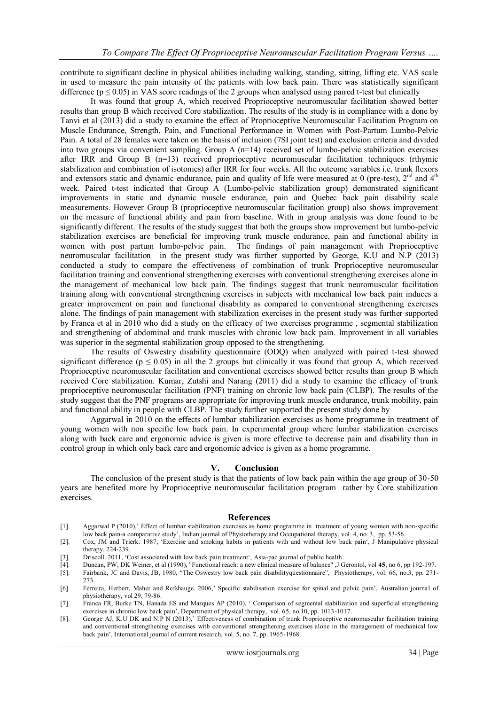contribute to significant decline in physical abilities including walking, standing, sitting, lifting etc. VAS scale in used to measure the pain intensity of the patients with low back pain. There was statistically significant difference ( $p \le 0.05$ ) in VAS score readings of the 2 groups when analysed using paired t-test but clinically

It was found that group A, which received Proprioceptive neuromuscular facilitation showed better results than group B which received Core stabilization. The results of the study is in compliance with a done by Tanvi et al (2013) did a study to examine the effect of Proprioceptive Neuromuscular Facilitation Program on Muscle Endurance, Strength, Pain, and Functional Performance in Women with Post-Partum Lumbo-Pelvic Pain. A total of 28 females were taken on the basis of inclusion (7SI joint test) and exclusion criteria and divided into two groups via convenient sampling. Group A (n=14) received set of lumbo-pelvic stabilization exercises after IRR and Group B (n=13) received proprioceptive neuromuscular facilitation techniques (rthymic stabilization and combination of isotonics) after IRR for four weeks. All the outcome variables i.e. trunk flexors and extensors static and dynamic endurance, pain and quality of life were measured at 0 (pre-test),  $2<sup>nd</sup>$  and  $4<sup>th</sup>$ week. Paired t-test indicated that Group A (Lumbo-pelvic stabilization group) demonstrated significant improvements in static and dynamic muscle endurance, pain and Quebec back pain disability scale measurements. However Group B (proprioceptive neuromuscular facilitation group) also shows improvement on the measure of functional ability and pain from baseline. With in group analysis was done found to be significantly different. The results of the study suggest that both the groups show improvement but lumbo-pelvic stabilization exercises are beneficial for improving trunk muscle endurance, pain and functional ability in women with post partum lumbo-pelvic pain. The findings of pain management with Proprioceptive neuromuscular facilitation in the present study was further supported by George, K.U and N.P (2013) conducted a study to compare the effectiveness of combination of trunk Proprioceptive neuromuscular facilitation training and conventional strengthening exercises with conventional strengthening exercises alone in the management of mechanical low back pain. The findings suggest that trunk neuromuscular facilitation training along with conventional strengthening exercises in subjects with mechanical low back pain induces a greater improvement on pain and functional disability as compared to conventional strengthening exercises alone. The findings of pain management with stabilization exercises in the present study was further supported by Franca et al in 2010 who did a study on the efficacy of two exercises programme , segmental stabilization and strengthening of abdominal and trunk muscles with chronic low back pain. Improvement in all variables was superior in the segmental stabilization group opposed to the strengthening.

The results of Oswestry disability questionnaire (ODQ) when analyzed with paired t-test showed significant difference ( $p \le 0.05$ ) in all the 2 groups but clinically it was found that group A, which received Proprioceptive neuromuscular facilitation and conventional exercises showed better results than group B which received Core stabilization. Kumar, Zutshi and Narang (2011) did a study to examine the efficacy of trunk proprioceptive neuromuscular facilitation (PNF) training on chronic low back pain (CLBP). The results of the study suggest that the PNF programs are appropriate for improving trunk muscle endurance, trunk mobility, pain and functional ability in people with CLBP. The study further supported the present study done by

Aggarwal in 2010 on the effects of lumbar stabilization exercises as home programme in treatment of young women with non specific low back pain. In experimental group where lumbar stabilization exercises along with back care and ergonomic advice is given is more effective to decrease pain and disability than in control group in which only back care and ergonomic advice is given as a home programme.

#### **V. Conclusion**

The conclusion of the present study is that the patients of low back pain within the age group of 30-50 years are benefited more by Proprioceptive neuromuscular facilitation program rather by Core stabilization exercises.

#### **References**

- [1]. Aggarwal P (2010)," Effect of lumbar stabilization exercises as home programme in treatment of young women with non-specific low back pain-a comparative study", Indian journal of Physiotherapy and Occupational therapy, vol. 4, no. 3, pp. 53-56.
- [2]. Cox, JM and Trierk. 1987, "Exercise and smoking habits in patients with and without low back pain", J Manipulative physical therapy, 224-239.
- [3]. Driscoll. 2011, "Cost associated with low back pain treatment", Asia-pac journal of public health.
- [4]. Duncan, PW, DK Weiner, et al (1990), "Functional reach: a new clinical measure of balance" ,J Gerontol, vol **45**, no 6, pp 192-197.
- [5]. Fairbank, JC and Davis, JB, 1980, "The Oswestry low back pain disabilityquestionnaire", Physiotherapy, vol. 66, no.3, pp. 271- 273.
- [6]. Ferreira, Herbert, Maher and Refshauge. 2006," Specific stabilisation exercise for spinal and pelvic pain", Australian journal of physiotherapy, vol 29, 79-86.
- [7]. Franca FR, Burke TN, Hanada ES and Marques AP (2010), " Comparison of segmental stabilization and superficial strengthening exercises in chronic low back pain", Department of physical therapy, vol. 65, no.10, pp. 1013-1017.
- [8]. George AJ, K.U DK and N.P N (2013), Effectiveness of combination of trunk Proprioceptive neuromuscular facilitation training and conventional strengthening exercises with conventional strengthening exercises alone in the management of mechanical low back pain", International journal of current research, vol. 5, no. 7, pp. 1965-1968.